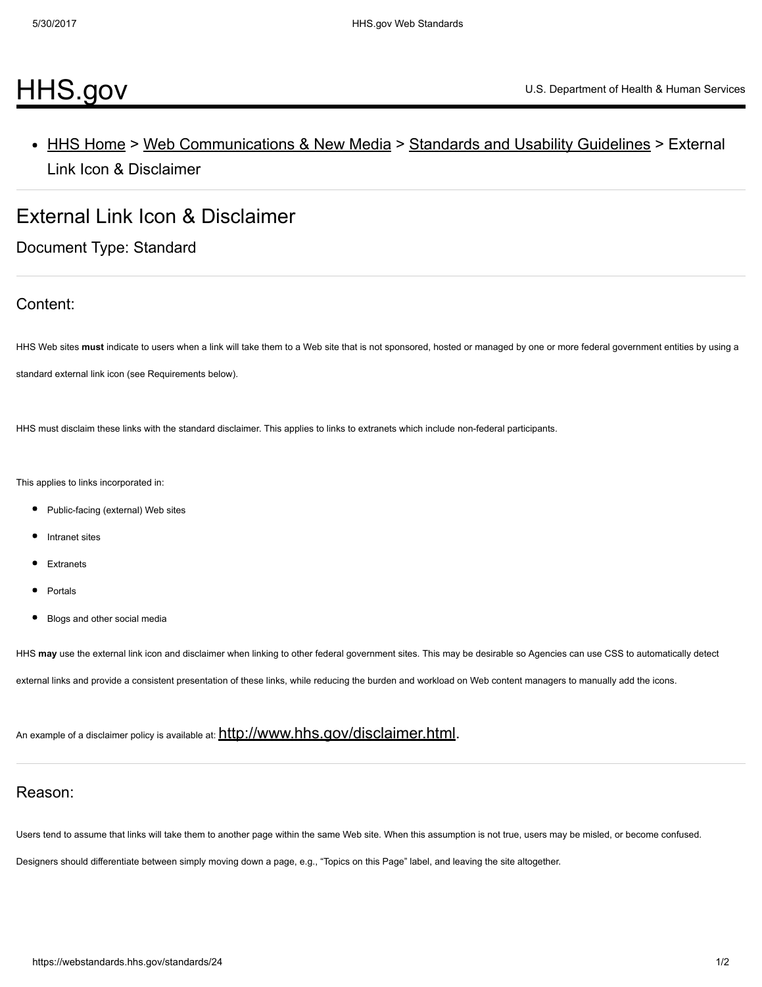# [HHS.gov](https://webstandards.hhs.gov/)

• HHS [Home](https://www.hhs.gov/) > Web [Communications](https://www.hhs.gov/web/) & New Media > Standards and Usability [Guidelines](https://webstandards.hhs.gov/) > External Link Icon & Disclaimer

# External Link Icon & Disclaimer

Document Type: Standard

# Content:

HHS Web sites must indicate to users when a link will take them to a Web site that is not sponsored, hosted or managed by one or more federal government entities by using a

standard external link icon (see Requirements below).

HHS must disclaim these links with the standard disclaimer. This applies to links to extranets which include non-federal participants.

This applies to links incorporated in:

- $\bullet$ Public-facing (external) Web sites
- Intranet sites
- **Extranets**
- $\bullet$ Portals
- $\bullet$ Blogs and other social media

HHS may use the external link icon and disclaimer when linking to other federal government sites. This may be desirable so Agencies can use CSS to automatically detect

external links and provide a consistent presentation of these links, while reducing the burden and workload on Web content managers to manually add the icons.

An example of <sup>a</sup> disclaimer policy is available at: <http://www.hhs.gov/disclaimer.html>.

#### Reason:

Users tend to assume that links will take them to another page within the same Web site. When this assumption is not true, users may be misled, or become confused.

Designers should differentiate between simply moving down a page, e.g., "Topics on this Page" label, and leaving the site altogether.